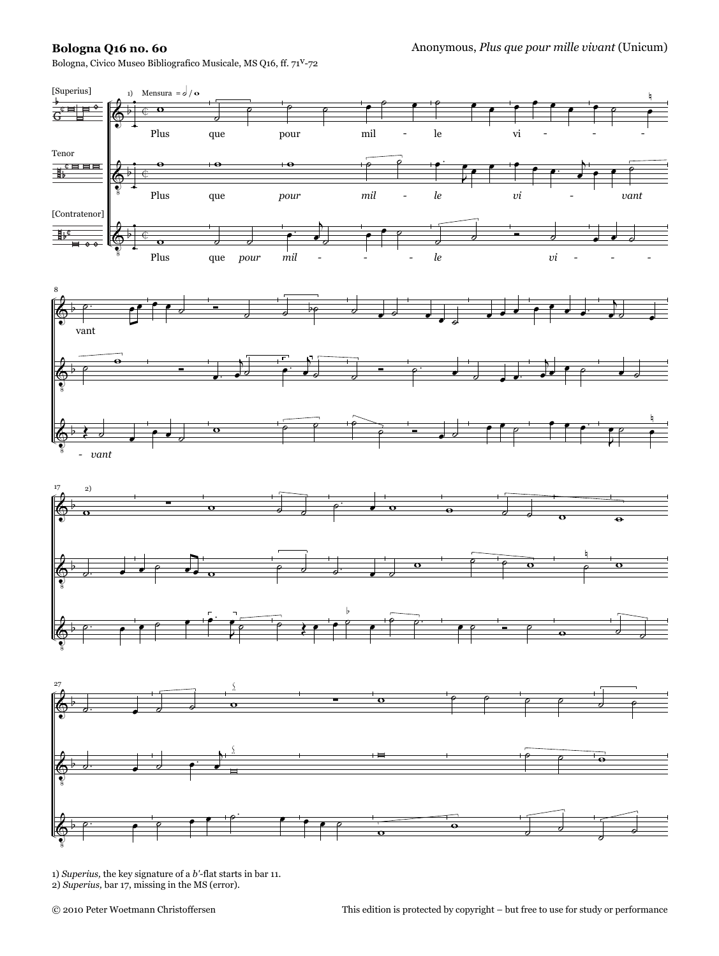## **Bologna Q16 no. 60**

Bologna, Civico Museo Bibliografico Musicale, MS Q16, ff. 71v-72



1) *Superius,* the key signature of a *b'-*flat starts in bar 11. 2) *Superius,* bar 17, missing in the MS (error).